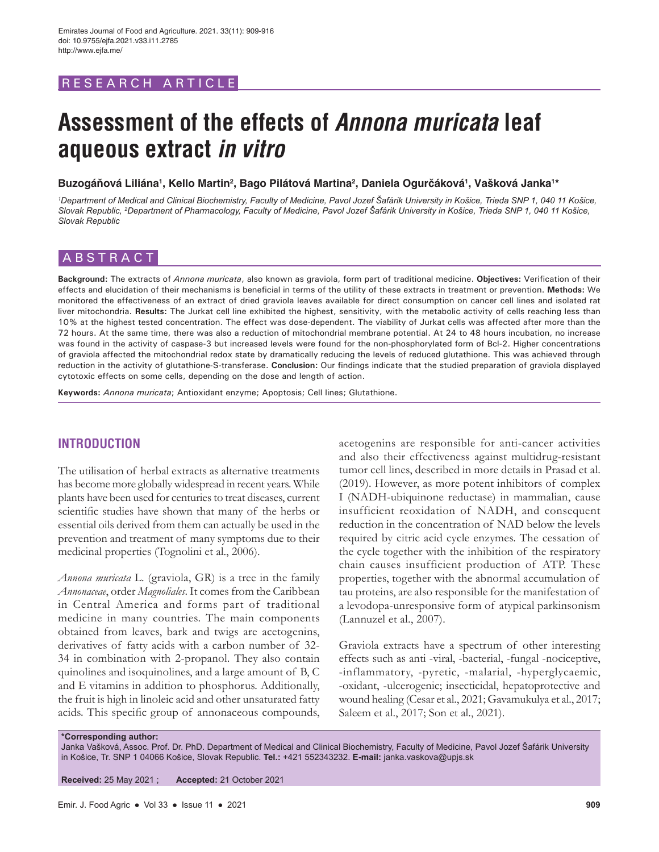## RESEARCH ARTICLE

# **Assessment of the effects of** *Annona muricata* **leaf aqueous extract** *in vitro*

**Buzogáňová Liliána<sup>1</sup> , Kello Martin<sup>2</sup> , Bago Pilátová Martina<sup>2</sup> , Daniela Ogurčáková<sup>1</sup> , Vašková Janka<sup>1</sup> \***

*1 Department of Medical and Clinical Biochemistry, Faculty of Medicine, Pavol Jozef Šafárik University in Košice, Trieda SNP 1, 040 11 Košice, Slovak Republic, 2 Department of Pharmacology, Faculty of Medicine, Pavol Jozef Šafárik University in Košice, Trieda SNP 1, 040 11 Košice, Slovak Republic*

## ABSTRACT

**Background:** The extracts of *Annona muricata*, also known as graviola, form part of traditional medicine. **Objectives:** Verification of their effects and elucidation of their mechanisms is beneficial in terms of the utility of these extracts in treatment or prevention. **Methods:** We monitored the effectiveness of an extract of dried graviola leaves available for direct consumption on cancer cell lines and isolated rat liver mitochondria. **Results:** The Jurkat cell line exhibited the highest, sensitivity, with the metabolic activity of cells reaching less than 10% at the highest tested concentration. The effect was dose-dependent. The viability of Jurkat cells was affected after more than the 72 hours. At the same time, there was also a reduction of mitochondrial membrane potential. At 24 to 48 hours incubation, no increase was found in the activity of caspase-3 but increased levels were found for the non-phosphorylated form of Bcl-2. Higher concentrations of graviola affected the mitochondrial redox state by dramatically reducing the levels of reduced glutathione. This was achieved through reduction in the activity of glutathione-S-transferase. **Conclusion:** Our findings indicate that the studied preparation of graviola displayed cytotoxic effects on some cells, depending on the dose and length of action.

**Keywords:** *Annona muricata*; Antioxidant enzyme; Apoptosis; Cell lines; Glutathione.

## **INTRODUCTION**

The utilisation of herbal extracts as alternative treatments has become more globally widespread in recent years. While plants have been used for centuries to treat diseases, current scientific studies have shown that many of the herbs or essential oils derived from them can actually be used in the prevention and treatment of many symptoms due to their medicinal properties (Tognolini et al., 2006).

*Annona muricata* L. (graviola, GR) is a tree in the family *Annonaceae*, order *Magnoliales*. It comes from the Caribbean in Central America and forms part of traditional medicine in many countries. The main components obtained from leaves, bark and twigs are acetogenins, derivatives of fatty acids with a carbon number of 32- 34 in combination with 2-propanol. They also contain quinolines and isoquinolines, and a large amount of B, C and E vitamins in addition to phosphorus. Additionally, the fruit is high in linoleic acid and other unsaturated fatty acids. This specific group of annonaceous compounds,

acetogenins are responsible for anti-cancer activities and also their effectiveness against multidrug-resistant tumor cell lines, described in more details in Prasad et al. (2019). However, as more potent inhibitors of complex I (NADH-ubiquinone reductase) in mammalian, cause insufficient reoxidation of NADH, and consequent reduction in the concentration of NAD below the levels required by citric acid cycle enzymes. The cessation of the cycle together with the inhibition of the respiratory chain causes insufficient production of ATP. These properties, together with the abnormal accumulation of tau proteins, are also responsible for the manifestation of a levodopa-unresponsive form of atypical parkinsonism (Lannuzel et al., 2007).

Graviola extracts have a spectrum of other interesting effects such as anti -viral, -bacterial, -fungal -nociceptive, -inflammatory, -pyretic, -malarial, -hyperglycaemic, -oxidant, -ulcerogenic; insecticidal, hepatoprotective and wound healing (Cesar et al., 2021; Gavamukulya et al., 2017; Saleem et al., 2017; Son et al., 2021).

**\*Corresponding author:**

Janka Vašková, Assoc. Prof. Dr. PhD. Department of Medical and Clinical Biochemistry, Faculty of Medicine, Pavol Jozef Šafárik University in Košice, Tr. SNP 1 04066 Košice, Slovak Republic. **Tel.:** +421 552343232. **E-mail:** janka.vaskova@upjs.sk

**Received:** 25 May 2021 ; **Accepted:** 21 October 2021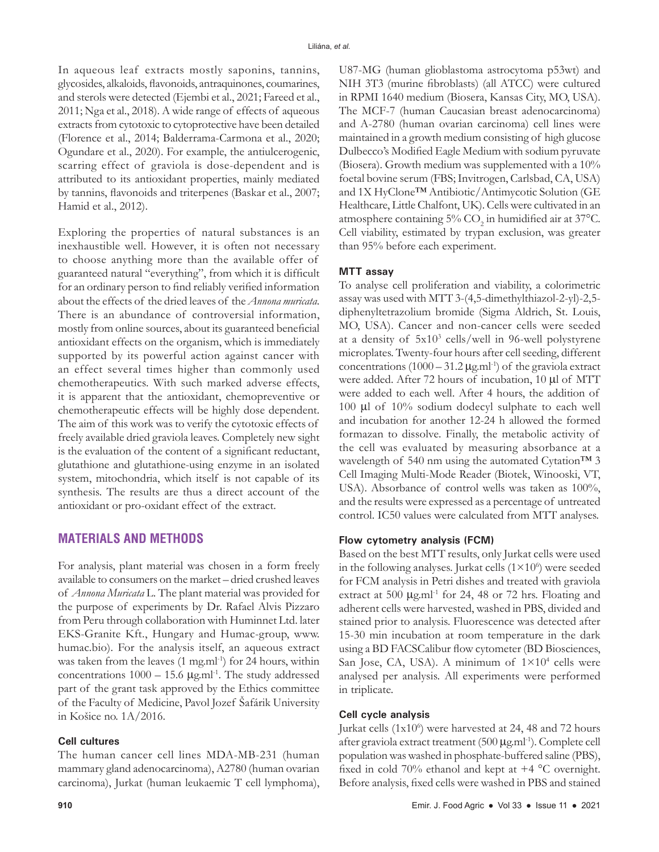In aqueous leaf extracts mostly saponins, tannins, glycosides, alkaloids, flavonoids, antraquinones, coumarines, and sterols were detected (Ejembi et al., 2021; Fareed et al., 2011; Nga et al., 2018). A wide range of effects of aqueous extracts from cytotoxic to cytoprotective have been detailed (Florence et al., 2014; Balderrama-Carmona et al., 2020; Ogundare et al., 2020). For example, the antiulcerogenic, scarring effect of graviola is dose-dependent and is attributed to its antioxidant properties, mainly mediated by tannins, flavonoids and triterpenes (Baskar et al., 2007; Hamid et al., 2012).

Exploring the properties of natural substances is an inexhaustible well. However, it is often not necessary to choose anything more than the available offer of guaranteed natural "everything", from which it is difficult for an ordinary person to find reliably verified information about the effects of the dried leaves of the *Annona muricata*. There is an abundance of controversial information, mostly from online sources, about its guaranteed beneficial antioxidant effects on the organism, which is immediately supported by its powerful action against cancer with an effect several times higher than commonly used chemotherapeutics. With such marked adverse effects, it is apparent that the antioxidant, chemopreventive or chemotherapeutic effects will be highly dose dependent. The aim of this work was to verify the cytotoxic effects of freely available dried graviola leaves. Completely new sight is the evaluation of the content of a significant reductant, glutathione and glutathione-using enzyme in an isolated system, mitochondria, which itself is not capable of its synthesis. The results are thus a direct account of the antioxidant or pro-oxidant effect of the extract.

## **MATERIALS AND METHODS**

For analysis, plant material was chosen in a form freely available to consumers on the market – dried crushed leaves of *Annona Muricata* L. The plant material was provided for the purpose of experiments by Dr. Rafael Alvis Pizzaro from Peru through collaboration with Huminnet Ltd. later EKS-Granite Kft., Hungary and Humac-group, www. humac.bio). For the analysis itself, an aqueous extract was taken from the leaves  $(1 \text{ mg.m}^{-1})$  for 24 hours, within concentrations  $1000 - 15.6$   $\mu$ g.ml<sup>-1</sup>. The study addressed part of the grant task approved by the Ethics committee of the Faculty of Medicine, Pavol Jozef Šafárik University in Košice no. 1A/2016.

#### **Cell cultures**

The human cancer cell lines MDA-MB-231 (human mammary gland adenocarcinoma), A2780 (human ovarian carcinoma), Jurkat (human leukaemic T cell lymphoma), U87-MG (human glioblastoma astrocytoma p53wt) and NIH 3T3 (murine fibroblasts) (all ATCC) were cultured in RPMI 1640 medium (Biosera, Kansas City, MO, USA). The MCF-7 (human Caucasian breast adenocarcinoma) and A-2780 (human ovarian carcinoma) cell lines were maintained in a growth medium consisting of high glucose Dulbecco's Modified Eagle Medium with sodium pyruvate (Biosera). Growth medium was supplemented with a 10% foetal bovine serum (FBS; Invitrogen, Carlsbad, CA, USA) and 1X HyClone™ Antibiotic/Antimycotic Solution (GE Healthcare, Little Chalfont, UK). Cells were cultivated in an atmosphere containing  $5\%$  CO<sub>2</sub> in humidified air at 37°C. Cell viability, estimated by trypan exclusion, was greater than 95% before each experiment.

#### **MTT assay**

To analyse cell proliferation and viability, a colorimetric assay was used with MTT 3-(4,5-dimethylthiazol-2-yl)-2,5 diphenyltetrazolium bromide (Sigma Aldrich, St. Louis, MO, USA). Cancer and non-cancer cells were seeded at a density of 5x103 cells/well in 96-well polystyrene microplates. Twenty-four hours after cell seeding, different concentrations  $(1000 - 31.2 \,\mu\text{g.m}l^{-1})$  of the graviola extract were added. After 72 hours of incubation, 10 µl of MTT were added to each well. After 4 hours, the addition of 100 µl of 10% sodium dodecyl sulphate to each well and incubation for another 12-24 h allowed the formed formazan to dissolve. Finally, the metabolic activity of the cell was evaluated by measuring absorbance at a wavelength of 540 nm using the automated Cytation™ 3 Cell Imaging Multi-Mode Reader (Biotek, Winooski, VT, USA). Absorbance of control wells was taken as 100%, and the results were expressed as a percentage of untreated control. IC50 values were calculated from MTT analyses.

#### **Flow cytometry analysis (FCM)**

Based on the best MTT results, only Jurkat cells were used in the following analyses. Jurkat cells  $(1\times10^6)$  were seeded for FCM analysis in Petri dishes and treated with graviola extract at 500  $\mu$ g.ml<sup>-1</sup> for 24, 48 or 72 hrs. Floating and adherent cells were harvested, washed in PBS, divided and stained prior to analysis. Fluorescence was detected after 15-30 min incubation at room temperature in the dark using a BD FACSCalibur flow cytometer (BD Biosciences, San Jose, CA, USA). A minimum of  $1 \times 10^4$  cells were analysed per analysis. All experiments were performed in triplicate.

#### **Cell cycle analysis**

Jurkat cells (1x10<sup>6</sup>) were harvested at 24, 48 and 72 hours after graviola extract treatment (500 μg.ml-1). Complete cell population was washed in phosphate-buffered saline (PBS), fixed in cold 70% ethanol and kept at  $+4$  °C overnight. Before analysis, fixed cells were washed in PBS and stained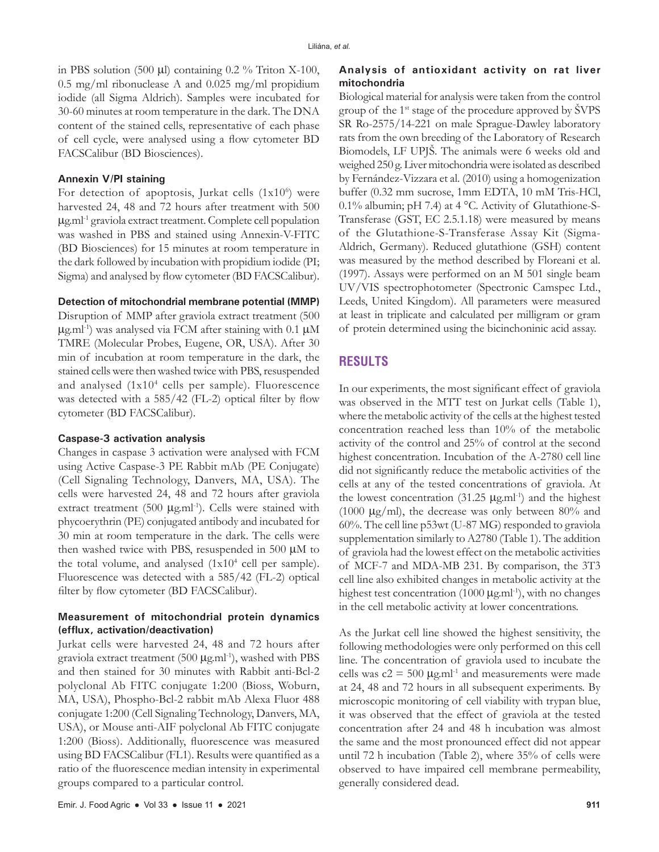in PBS solution (500  $\mu$ l) containing 0.2 % Triton X-100, 0.5 mg/ml ribonuclease A and 0.025 mg/ml propidium iodide (all Sigma Aldrich). Samples were incubated for 30-60 minutes at room temperature in the dark. The DNA content of the stained cells, representative of each phase of cell cycle, were analysed using a flow cytometer BD FACSCalibur (BD Biosciences).

#### **Annexin V/PI staining**

For detection of apoptosis, Jurkat cells  $(1x10<sup>6</sup>)$  were harvested 24, 48 and 72 hours after treatment with 500  $\mu$ g.ml<sup>-1</sup> graviola extract treatment. Complete cell population was washed in PBS and stained using Annexin-V-FITC (BD Biosciences) for 15 minutes at room temperature in the dark followed by incubation with propidium iodide (PI; Sigma) and analysed by flow cytometer (BD FACSCalibur).

#### **Detection of mitochondrial membrane potential (MMP)**

Disruption of MMP after graviola extract treatment (500  $\mu$ g.ml<sup>-1</sup>) was analysed via FCM after staining with 0.1  $\mu$ M TMRE (Molecular Probes, Eugene, OR, USA). After 30 min of incubation at room temperature in the dark, the stained cells were then washed twice with PBS, resuspended and analysed (1x104 cells per sample). Fluorescence was detected with a 585/42 (FL-2) optical filter by flow cytometer (BD FACSCalibur).

#### **Caspase-3 activation analysis**

Changes in caspase 3 activation were analysed with FCM using Active Caspase-3 PE Rabbit mAb (PE Conjugate) (Cell Signaling Technology, Danvers, MA, USA). The cells were harvested 24, 48 and 72 hours after graviola extract treatment (500  $\mu$ g.ml<sup>-1</sup>). Cells were stained with phycoerythrin (PE) conjugated antibody and incubated for 30 min at room temperature in the dark. The cells were then washed twice with PBS, resuspended in 500 μM to the total volume, and analysed  $(1x10<sup>4</sup>$  cell per sample). Fluorescence was detected with a 585/42 (FL-2) optical filter by flow cytometer (BD FACSCalibur).

## **Measurement of mitochondrial protein dynamics (efflux, activation/deactivation)**

Jurkat cells were harvested 24, 48 and 72 hours after graviola extract treatment  $(500 \mu g.m<sup>1</sup>)$ , washed with PBS and then stained for 30 minutes with Rabbit anti-Bcl-2 polyclonal Ab FITC conjugate 1:200 (Bioss, Woburn, MA, USA), Phospho-Bcl-2 rabbit mAb Alexa Fluor 488 conjugate 1:200 (Cell Signaling Technology, Danvers, MA, USA), or Mouse anti-AIF polyclonal Ab FITC conjugate 1:200 (Bioss). Additionally, fluorescence was measured using BD FACSCalibur (FL1). Results were quantified as a ratio of the fluorescence median intensity in experimental groups compared to a particular control.

### **Analysis of antioxidant activity on rat liver mitochondria**

Biological material for analysis were taken from the control group of the 1st stage of the procedure approved by ŠVPS SR Ro-2575/14-221 on male Sprague-Dawley laboratory rats from the own breeding of the Laboratory of Research Biomodels, LF UPJŠ. The animals were 6 weeks old and weighed 250 g. Liver mitochondria were isolated as described by Fernández-Vizzara et al. (2010) using a homogenization buffer (0.32 mm sucrose, 1mm EDTA, 10 mM Tris-HCl, 0.1% albumin; pH 7.4) at 4 °C. Activity of Glutathione-S-Transferase (GST, EC 2.5.1.18) were measured by means of the Glutathione-S-Transferase Assay Kit (Sigma-Aldrich, Germany). Reduced glutathione (GSH) content was measured by the method described by Floreani et al. (1997). Assays were performed on an M 501 single beam UV/VIS spectrophotometer (Spectronic Camspec Ltd., Leeds, United Kingdom). All parameters were measured at least in triplicate and calculated per milligram or gram of protein determined using the bicinchoninic acid assay.

## **RESULTS**

In our experiments, the most significant effect of graviola was observed in the MTT test on Jurkat cells (Table 1), where the metabolic activity of the cells at the highest tested concentration reached less than 10% of the metabolic activity of the control and 25% of control at the second highest concentration. Incubation of the A-2780 cell line did not significantly reduce the metabolic activities of the cells at any of the tested concentrations of graviola. At the lowest concentration  $(31.25 \mu g.m<sup>1-1</sup>)$  and the highest (1000  $\mu$ g/ml), the decrease was only between 80% and 60%. The cell line p53wt (U-87 MG) responded to graviola supplementation similarly to A2780 (Table 1). The addition of graviola had the lowest effect on the metabolic activities of MCF-7 and MDA-MB 231. By comparison, the 3T3 cell line also exhibited changes in metabolic activity at the highest test concentration (1000  $\mu$ g.ml<sup>-1</sup>), with no changes in the cell metabolic activity at lower concentrations.

As the Jurkat cell line showed the highest sensitivity, the following methodologies were only performed on this cell line. The concentration of graviola used to incubate the cells was  $c2 = 500 \mu g.m<sup>1-1</sup>$  and measurements were made at 24, 48 and 72 hours in all subsequent experiments. By microscopic monitoring of cell viability with trypan blue, it was observed that the effect of graviola at the tested concentration after 24 and 48 h incubation was almost the same and the most pronounced effect did not appear until 72 h incubation (Table 2), where 35% of cells were observed to have impaired cell membrane permeability, generally considered dead.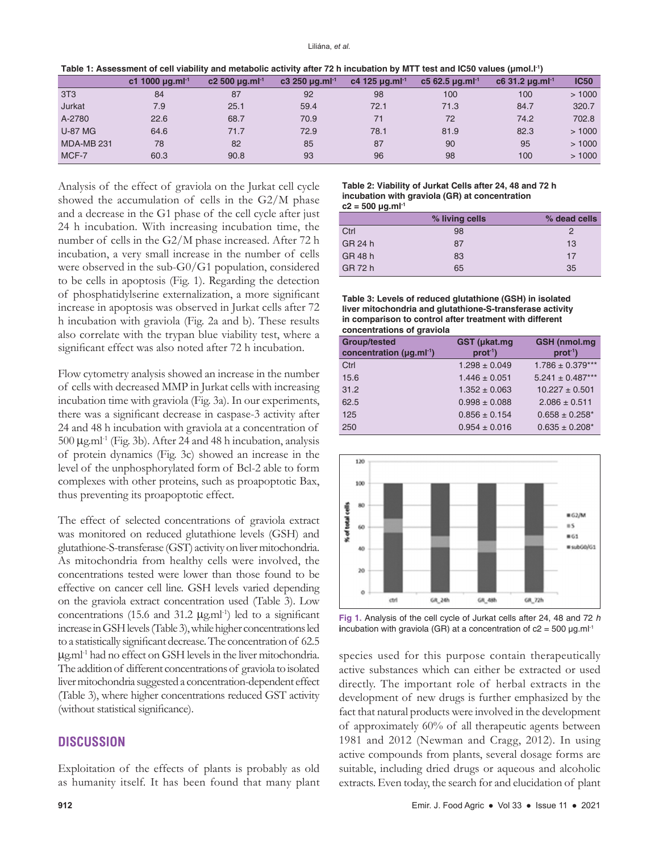| Table 1: Assessment of cell viability and metabolic activity after 72 h incubation by MTT test and IC50 values (µmol.l <sup>-1</sup> ) |  |  |  |
|----------------------------------------------------------------------------------------------------------------------------------------|--|--|--|
|----------------------------------------------------------------------------------------------------------------------------------------|--|--|--|

|                   | c1 1000 $\mu$ g.ml <sup>-1</sup> | $c2500 \mu q.$ ml <sup>-1</sup> | $c3250 \mu q.m1-1$ | c4 125 $\mu$ g.ml <sup>-1</sup> | $c562.5 \mu q.m^{-1}$ | $c6$ 31.2 $\mu$ g.ml <sup>-1</sup> | <b>IC50</b> |
|-------------------|----------------------------------|---------------------------------|--------------------|---------------------------------|-----------------------|------------------------------------|-------------|
| 3T <sub>3</sub>   | 84                               | 87                              | 92                 | 98                              | 100                   | 100                                | >1000       |
| Jurkat            | 7.9                              | 25.1                            | 59.4               | 72.1                            | 71.3                  | 84.7                               | 320.7       |
| A-2780            | 22.6                             | 68.7                            | 70.9               | 71                              | 72                    | 74.2                               | 702.8       |
| <b>U-87 MG</b>    | 64.6                             | 71.7                            | 72.9               | 78.1                            | 81.9                  | 82.3                               | >1000       |
| <b>MDA-MB 231</b> | 78                               | 82                              | 85                 | 87                              | 90                    | 95                                 | >1000       |
| MCF-7             | 60.3                             | 90.8                            | 93                 | 96                              | 98                    | 100                                | >1000       |

Analysis of the effect of graviola on the Jurkat cell cycle showed the accumulation of cells in the G2/M phase and a decrease in the G1 phase of the cell cycle after just 24 h incubation. With increasing incubation time, the number of cells in the G2/M phase increased. After 72 h incubation, a very small increase in the number of cells were observed in the sub-G0/G1 population, considered to be cells in apoptosis (Fig. 1). Regarding the detection of phosphatidylserine externalization, a more significant increase in apoptosis was observed in Jurkat cells after 72 h incubation with graviola (Fig. 2a and b). These results also correlate with the trypan blue viability test, where a significant effect was also noted after 72 h incubation.

Flow cytometry analysis showed an increase in the number of cells with decreased MMP in Jurkat cells with increasing incubation time with graviola (Fig. 3a). In our experiments, there was a significant decrease in caspase-3 activity after 24 and 48 h incubation with graviola at a concentration of  $500 \mu$ g.ml<sup>-1</sup> (Fig. 3b). After 24 and 48 h incubation, analysis of protein dynamics (Fig. 3c) showed an increase in the level of the unphosphorylated form of Bcl-2 able to form complexes with other proteins, such as proapoptotic Bax, thus preventing its proapoptotic effect.

The effect of selected concentrations of graviola extract was monitored on reduced glutathione levels (GSH) and glutathione-S-transferase (GST) activity on liver mitochondria. As mitochondria from healthy cells were involved, the concentrations tested were lower than those found to be effective on cancer cell line. GSH levels varied depending on the graviola extract concentration used (Table 3). Low concentrations (15.6 and 31.2  $\mu$ g.ml<sup>-1</sup>) led to a significant increase in GSH levels (Table3), while higher concentrations led to a statistically significant decrease. The concentration of 62.5  $\mu$ g.ml<sup>-1</sup> had no effect on GSH levels in the liver mitochondria. The addition of different concentrations of graviola to isolated liver mitochondria suggested a concentration-dependent effect (Table 3), where higher concentrations reduced GST activity (without statistical significance).

## **DISCUSSION**

Exploitation of the effects of plants is probably as old as humanity itself. It has been found that many plant

#### **Table 2: Viability of Jurkat Cells after 24, 48 and 72 h incubation with graviola (GR) at concentration c2 = 500 μg.ml<sup>-1</sup>**

|         | % living cells | % dead cells |
|---------|----------------|--------------|
| Ctrl    | 98             | 2            |
| GR 24 h | 87             | 13           |
| GR 48 h | 83             | 17           |
| GR 72 h | 65             | 35           |

**Table 3: Levels of reduced glutathione (GSH) in isolated liver mitochondria and glutathione‑S‑transferase activity in comparison to control after treatment with different concentrations of graviola** 

| <b>Group/tested</b><br>concentration ( $\mu$ g.ml <sup>-1</sup> ) | GST (µkat.mg<br>$prot-1$ | <b>GSH</b> (nmol.mg<br>$prot-1$ |
|-------------------------------------------------------------------|--------------------------|---------------------------------|
| Ctrl                                                              | $1.298 \pm 0.049$        | $1.786 \pm 0.379***$            |
| 15.6                                                              | $1.446 \pm 0.051$        | $5.241 \pm 0.487***$            |
| 31.2                                                              | $1.352 \pm 0.063$        | $10.227 \pm 0.501$              |
| 62.5                                                              | $0.998 \pm 0.088$        | $2.086 \pm 0.511$               |
| 125                                                               | $0.856 \pm 0.154$        | $0.658 \pm 0.258^*$             |
| 250                                                               | $0.954 \pm 0.016$        | $0.635 \pm 0.208^*$             |



**Fig 1.** Analysis of the cell cycle of Jurkat cells after 24, 48 and 72 *h* **i**ncubation with graviola (GR) at a concentration of  $c2 = 500 \mu g.m<sup>1-1</sup>$ 

species used for this purpose contain therapeutically active substances which can either be extracted or used directly. The important role of herbal extracts in the development of new drugs is further emphasized by the fact that natural products were involved in the development of approximately 60% of all therapeutic agents between 1981 and 2012 (Newman and Cragg, 2012). In using active compounds from plants, several dosage forms are suitable, including dried drugs or aqueous and alcoholic extracts. Even today, the search for and elucidation of plant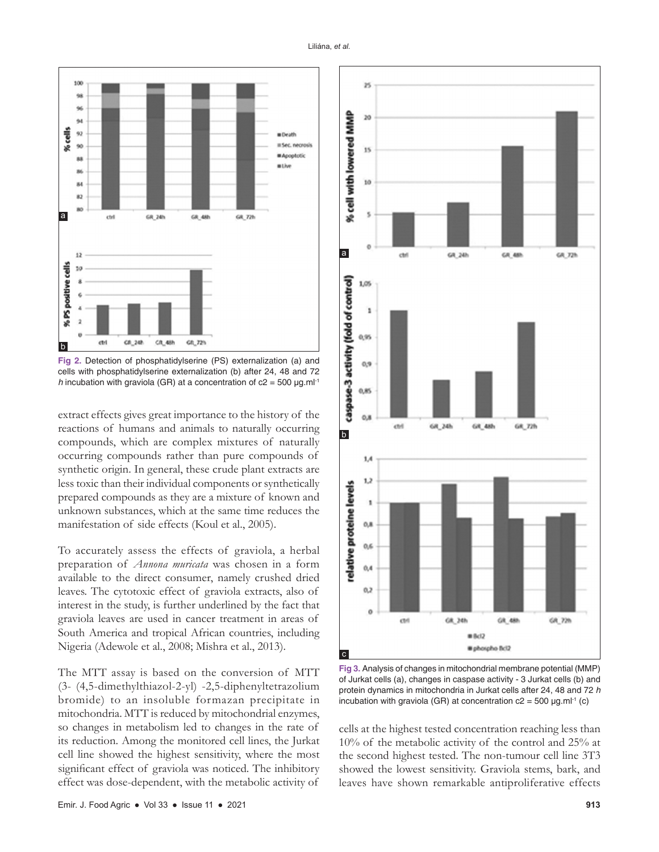

**Fig 2.** Detection of phosphatidylserine (PS) externalization (a) and cells with phosphatidylserine externalization (b) after 24, 48 and 72 *h* incubation with graviola (GR) at a concentration of  $c2 = 500 \mu g.m^{-1}$ 

extract effects gives great importance to the history of the reactions of humans and animals to naturally occurring compounds, which are complex mixtures of naturally occurring compounds rather than pure compounds of synthetic origin. In general, these crude plant extracts are less toxic than their individual components or synthetically prepared compounds as they are a mixture of known and unknown substances, which at the same time reduces the manifestation of side effects (Koul et al., 2005).

To accurately assess the effects of graviola, a herbal preparation of *Annona muricata* was chosen in a form available to the direct consumer, namely crushed dried leaves. The cytotoxic effect of graviola extracts, also of interest in the study, is further underlined by the fact that graviola leaves are used in cancer treatment in areas of South America and tropical African countries, including Nigeria (Adewole et al., 2008; Mishra et al., 2013).

The MTT assay is based on the conversion of MTT (3- (4,5-dimethylthiazol-2-yl) -2,5-diphenyltetrazolium bromide) to an insoluble formazan precipitate in mitochondria. MTT is reduced by mitochondrial enzymes, so changes in metabolism led to changes in the rate of its reduction. Among the monitored cell lines, the Jurkat cell line showed the highest sensitivity, where the most significant effect of graviola was noticed. The inhibitory effect was dose-dependent, with the metabolic activity of



**Fig 3.** Analysis of changes in mitochondrial membrane potential (MMP) of Jurkat cells (a), changes in caspase activity - 3 Jurkat cells (b) and protein dynamics in mitochondria in Jurkat cells after 24, 48 and 72 *h* incubation with graviola (GR) at concentration  $c2 = 500 \mu g.m^{-1}$  (c)

cells at the highest tested concentration reaching less than 10% of the metabolic activity of the control and 25% at the second highest tested. The non-tumour cell line 3T3 showed the lowest sensitivity. Graviola stems, bark, and leaves have shown remarkable antiproliferative effects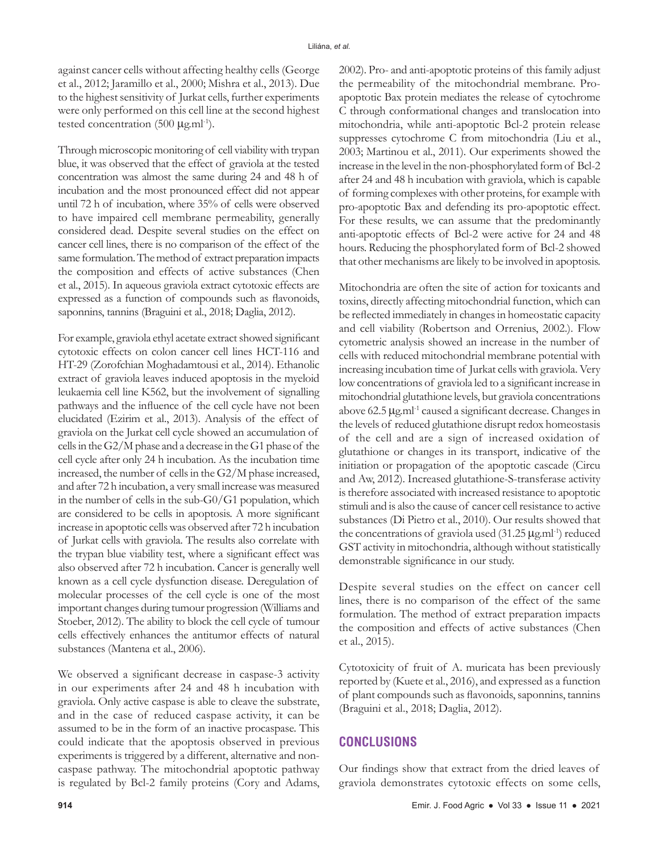against cancer cells without affecting healthy cells (George et al., 2012; Jaramillo et al., 2000; Mishra et al., 2013). Due to the highest sensitivity of Jurkat cells, further experiments were only performed on this cell line at the second highest tested concentration (500  $\mu$ g.ml<sup>-1</sup>).

Through microscopic monitoring of cell viability with trypan blue, it was observed that the effect of graviola at the tested concentration was almost the same during 24 and 48 h of incubation and the most pronounced effect did not appear until 72 h of incubation, where 35% of cells were observed to have impaired cell membrane permeability, generally considered dead. Despite several studies on the effect on cancer cell lines, there is no comparison of the effect of the same formulation. The method of extract preparation impacts the composition and effects of active substances (Chen et al., 2015). In aqueous graviola extract cytotoxic effects are expressed as a function of compounds such as flavonoids, saponnins, tannins (Braguini et al., 2018; Daglia, 2012).

For example, graviola ethyl acetate extract showed significant cytotoxic effects on colon cancer cell lines HCT-116 and HT-29 (Zorofchian Moghadamtousi et al., 2014). Ethanolic extract of graviola leaves induced apoptosis in the myeloid leukaemia cell line K562, but the involvement of signalling pathways and the influence of the cell cycle have not been elucidated (Ezirim et al., 2013). Analysis of the effect of graviola on the Jurkat cell cycle showed an accumulation of cells in the G2/M phase and a decrease in the G1 phase of the cell cycle after only 24 h incubation. As the incubation time increased, the number of cells in the G2/M phase increased, and after 72 h incubation, a very small increase was measured in the number of cells in the sub-G0/G1 population, which are considered to be cells in apoptosis. A more significant increase in apoptotic cells was observed after 72 h incubation of Jurkat cells with graviola. The results also correlate with the trypan blue viability test, where a significant effect was also observed after 72 h incubation. Cancer is generally well known as a cell cycle dysfunction disease. Deregulation of molecular processes of the cell cycle is one of the most important changes during tumour progression (Williams and Stoeber, 2012). The ability to block the cell cycle of tumour cells effectively enhances the antitumor effects of natural substances (Mantena et al., 2006).

We observed a significant decrease in caspase-3 activity in our experiments after 24 and 48 h incubation with graviola. Only active caspase is able to cleave the substrate, and in the case of reduced caspase activity, it can be assumed to be in the form of an inactive procaspase. This could indicate that the apoptosis observed in previous experiments is triggered by a different, alternative and noncaspase pathway. The mitochondrial apoptotic pathway is regulated by Bcl-2 family proteins (Cory and Adams, 2002). Pro- and anti-apoptotic proteins of this family adjust the permeability of the mitochondrial membrane. Proapoptotic Bax protein mediates the release of cytochrome C through conformational changes and translocation into mitochondria, while anti-apoptotic Bcl-2 protein release suppresses cytochrome C from mitochondria (Liu et al., 2003; Martinou et al., 2011). Our experiments showed the increase in the level in the non-phosphorylated form of Bcl-2 after 24 and 48 h incubation with graviola, which is capable of forming complexes with other proteins, for example with pro-apoptotic Bax and defending its pro-apoptotic effect. For these results, we can assume that the predominantly anti-apoptotic effects of Bcl-2 were active for 24 and 48 hours. Reducing the phosphorylated form of Bcl-2 showed that other mechanisms are likely to be involved in apoptosis.

Mitochondria are often the site of action for toxicants and toxins, directly affecting mitochondrial function, which can be reflected immediately in changes in homeostatic capacity and cell viability (Robertson and Orrenius, 2002.). Flow cytometric analysis showed an increase in the number of cells with reduced mitochondrial membrane potential with increasing incubation time of Jurkat cells with graviola. Very low concentrations of graviola led to a significant increase in mitochondrial glutathione levels, but graviola concentrations above 62.5 μg.ml-1 caused a significant decrease. Changes in the levels of reduced glutathione disrupt redox homeostasis of the cell and are a sign of increased oxidation of glutathione or changes in its transport, indicative of the initiation or propagation of the apoptotic cascade (Circu and Aw, 2012). Increased glutathione-S-transferase activity is therefore associated with increased resistance to apoptotic stimuli and is also the cause of cancer cell resistance to active substances (Di Pietro et al., 2010). Our results showed that the concentrations of graviola used  $(31.25 \,\mu g\text{m}^{-1})$  reduced GST activity in mitochondria, although without statistically demonstrable significance in our study.

Despite several studies on the effect on cancer cell lines, there is no comparison of the effect of the same formulation. The method of extract preparation impacts the composition and effects of active substances (Chen et al., 2015).

Cytotoxicity of fruit of A. muricata has been previously reported by (Kuete et al., 2016), and expressed as a function of plant compounds such as flavonoids, saponnins, tannins (Braguini et al., 2018; Daglia, 2012).

## **CONCLUSIONS**

Our findings show that extract from the dried leaves of graviola demonstrates cytotoxic effects on some cells,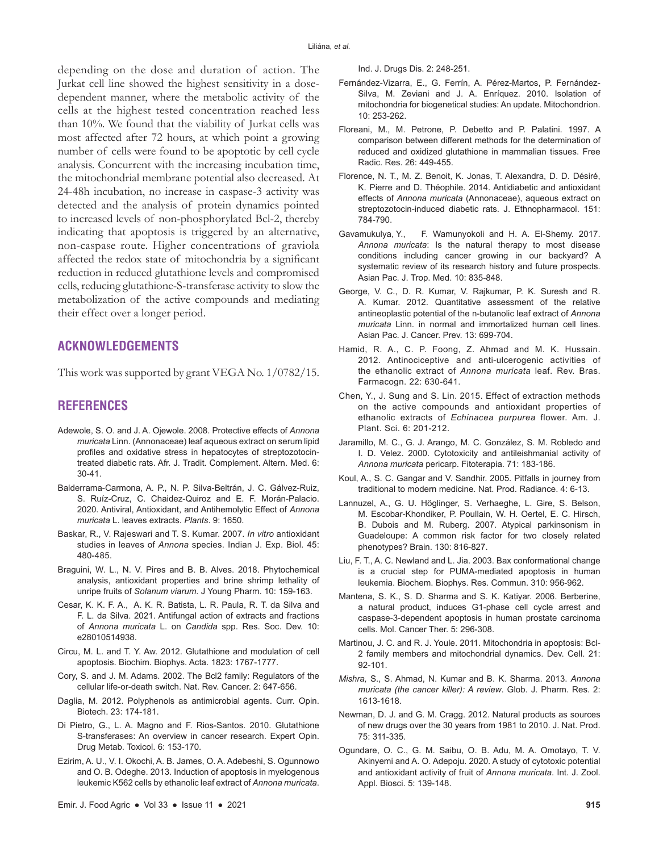depending on the dose and duration of action. The Jurkat cell line showed the highest sensitivity in a dosedependent manner, where the metabolic activity of the cells at the highest tested concentration reached less than 10%. We found that the viability of Jurkat cells was most affected after 72 hours, at which point a growing number of cells were found to be apoptotic by cell cycle analysis. Concurrent with the increasing incubation time, the mitochondrial membrane potential also decreased. At 24-48h incubation, no increase in caspase-3 activity was detected and the analysis of protein dynamics pointed to increased levels of non-phosphorylated Bcl-2, thereby indicating that apoptosis is triggered by an alternative, non-caspase route. Higher concentrations of graviola affected the redox state of mitochondria by a significant reduction in reduced glutathione levels and compromised cells, reducing glutathione-S-transferase activity to slow the metabolization of the active compounds and mediating their effect over a longer period.

## **ACKNOWLEDGEMENTS**

This work was supported by grant VEGA No. 1/0782/15.

## **REFERENCES**

- Adewole, S. O. and J. A. Ojewole. 2008. Protective effects of *Annona muricata* Linn. (Annonaceae) leaf aqueous extract on serum lipid profiles and oxidative stress in hepatocytes of streptozotocintreated diabetic rats. Afr. J. Tradit. Complement. Altern. Med. 6: 30-41.
- Balderrama-Carmona, A. P., N. P. Silva-Beltrán, J. C. Gálvez-Ruiz, S. Ruíz-Cruz, C. Chaidez-Quiroz and E. F. Morán-Palacio. 2020. Antiviral, Antioxidant, and Antihemolytic Effect of *Annona muricata* L. leaves extracts. *Plants*. 9: 1650.
- Baskar, R., V. Rajeswari and T. S. Kumar. 2007. *In vitro* antioxidant studies in leaves of *Annona* species. Indian J. Exp. Biol. 45: 480-485.
- Braguini, W. L., N. V. Pires and B. B. Alves. 2018. Phytochemical analysis, antioxidant properties and brine shrimp lethality of unripe fruits of *Solanum viarum*. J Young Pharm. 10: 159-163.
- Cesar, K. K. F. A., A. K. R. Batista, L. R. Paula, R. T. da Silva and F. L. da Silva. 2021. Antifungal action of extracts and fractions of *Annona muricata* L. on *Candida* spp. Res. Soc. Dev. 10: e28010514938.
- Circu, M. L. and T. Y. Aw. 2012. Glutathione and modulation of cell apoptosis. Biochim. Biophys. Acta. 1823: 1767-1777.
- Cory, S. and J. M. Adams. 2002. The Bcl2 family: Regulators of the cellular life-or-death switch. Nat. Rev. Cancer. 2: 647-656.
- Daglia, M. 2012. Polyphenols as antimicrobial agents. Curr. Opin. Biotech. 23: 174-181.
- Di Pietro, G., L. A. Magno and F. Rios-Santos. 2010. Glutathione S-transferases: An overview in cancer research. Expert Opin. Drug Metab. Toxicol. 6: 153-170.
- Ezirim, A. U., V. I. Okochi, A. B. James, O. A. Adebeshi, S. Ogunnowo and O. B. Odeghe. 2013. Induction of apoptosis in myelogenous leukemic K562 cells by ethanolic leaf extract of *Annona muricata*.

Ind. J. Drugs Dis. 2: 248-251.

- Fernández-Vizarra, E., G. Ferrín, A. Pérez-Martos, P. Fernández-Silva, M. Zeviani and J. A. Enríquez. 2010. Isolation of mitochondria for biogenetical studies: An update. Mitochondrion. 10: 253-262.
- Floreani, M., M. Petrone, P. Debetto and P. Palatini. 1997. A comparison between different methods for the determination of reduced and oxidized glutathione in mammalian tissues. Free Radic. Res. 26: 449-455.
- Florence, N. T., M. Z. Benoit, K. Jonas, T. Alexandra, D. D. Désiré, K. Pierre and D. Théophile. 2014. Antidiabetic and antioxidant effects of *Annona muricata* (Annonaceae), aqueous extract on streptozotocin-induced diabetic rats. J. Ethnopharmacol. 151: 784-790.
- Gavamukulya, Y., F. Wamunyokoli and H. A. El-Shemy. 2017. *Annona muricata*: Is the natural therapy to most disease conditions including cancer growing in our backyard? A systematic review of its research history and future prospects. Asian Pac. J. Trop. Med. 10: 835-848.
- George, V. C., D. R. Kumar, V. Rajkumar, P. K. Suresh and R. A. Kumar. 2012. Quantitative assessment of the relative antineoplastic potential of the n-butanolic leaf extract of *Annona muricata* Linn. in normal and immortalized human cell lines. Asian Pac. J. Cancer. Prev. 13: 699-704.
- Hamid, R. A., C. P. Foong, Z. Ahmad and M. K. Hussain. 2012. Antinociceptive and anti-ulcerogenic activities of the ethanolic extract of *Annona muricata* leaf. Rev. Bras. Farmacogn. 22: 630-641.
- Chen, Y., J. Sung and S. Lin. 2015. Effect of extraction methods on the active compounds and antioxidant properties of ethanolic extracts of *Echinacea purpurea* flower. Am. J. Plant. Sci. 6: 201-212.
- Jaramillo, M. C., G. J. Arango, M. C. González, S. M. Robledo and I. D. Velez. 2000. Cytotoxicity and antileishmanial activity of *Annona muricata* pericarp. Fitoterapia. 71: 183-186.
- Koul, A., S. C. Gangar and V. Sandhir. 2005. Pitfalls in journey from traditional to modern medicine. Nat. Prod. Radiance. 4: 6-13.
- Lannuzel, A., G. U. Höglinger, S. Verhaeghe, L. Gire, S. Belson, M. Escobar-Khondiker, P. Poullain, W. H. Oertel, E. C. Hirsch, B. Dubois and M. Ruberg. 2007. Atypical parkinsonism in Guadeloupe: A common risk factor for two closely related phenotypes? Brain. 130: 816-827.
- Liu, F. T., A. C. Newland and L. Jia. 2003. Bax conformational change is a crucial step for PUMA-mediated apoptosis in human leukemia. Biochem. Biophys. Res. Commun. 310: 956-962.
- Mantena, S. K., S. D. Sharma and S. K. Katiyar. 2006. Berberine, a natural product, induces G1-phase cell cycle arrest and caspase-3-dependent apoptosis in human prostate carcinoma cells. Mol. Cancer Ther. 5: 296-308.
- Martinou, J. C. and R. J. Youle. 2011. Mitochondria in apoptosis: Bcl-2 family members and mitochondrial dynamics. Dev. Cell. 21: 92-101.
- *Mishra,* S., S. Ahmad, N. Kumar and B. K. Sharma. 2013. *Annona muricata (the cancer killer): A review*. Glob. J. Pharm. Res. 2: 1613-1618.
- Newman, D. J. and G. M. Cragg. 2012. Natural products as sources of new drugs over the 30 years from 1981 to 2010. J. Nat. Prod. 75: 311-335.
- Ogundare, O. C., G. M. Saibu, O. B. Adu, M. A. Omotayo, T. V. Akinyemi and A. O. Adepoju. 2020. A study of cytotoxic potential and antioxidant activity of fruit of *Annona muricata*. Int. J. Zool. Appl. Biosci. 5: 139-148.